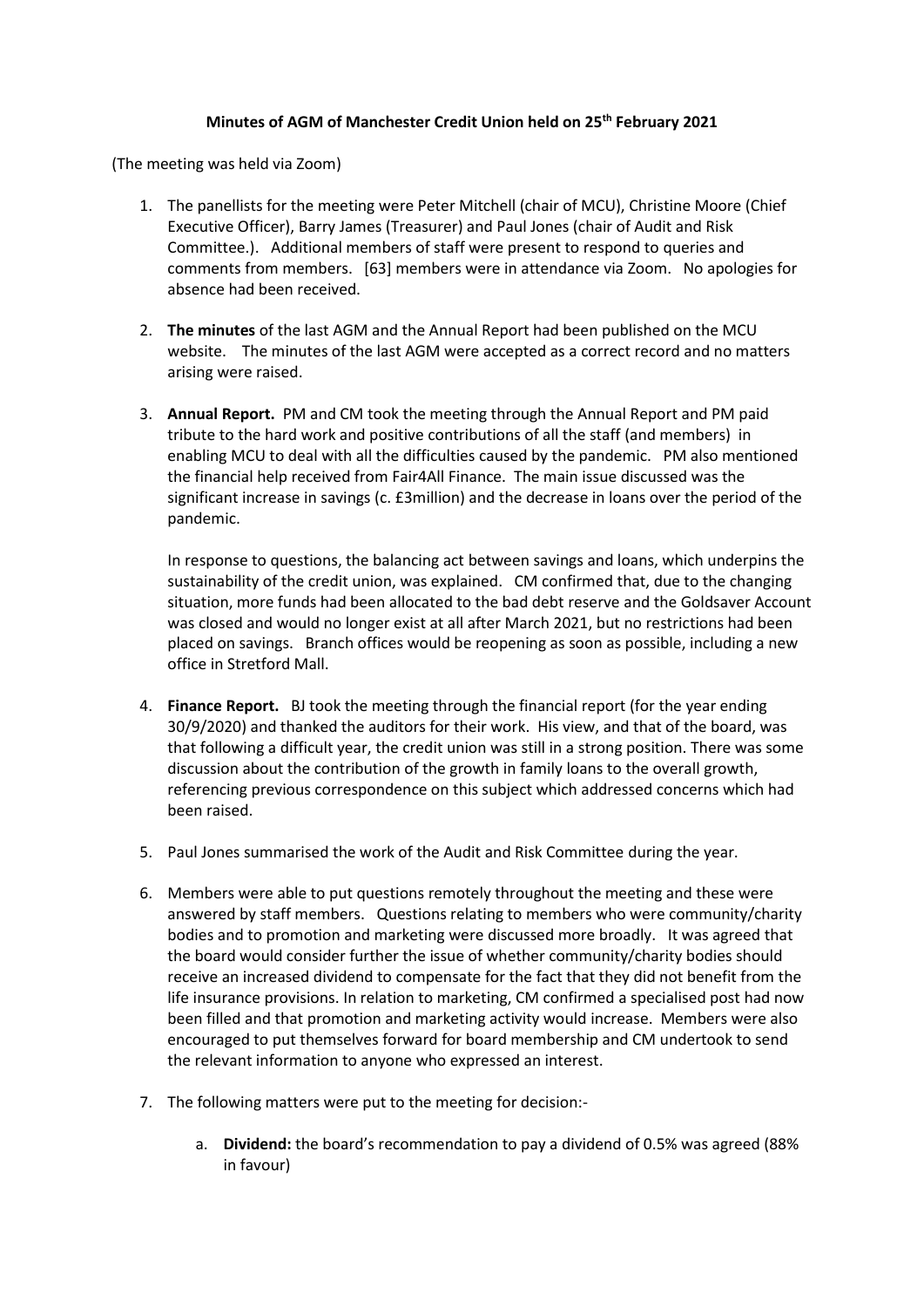## **Minutes of AGM of Manchester Credit Union held on 25th February 2021**

(The meeting was held via Zoom)

- 1. The panellists for the meeting were Peter Mitchell (chair of MCU), Christine Moore (Chief Executive Officer), Barry James (Treasurer) and Paul Jones (chair of Audit and Risk Committee.). Additional members of staff were present to respond to queries and comments from members. [63] members were in attendance via Zoom. No apologies for absence had been received.
- 2. **The minutes** of the last AGM and the Annual Report had been published on the MCU website. The minutes of the last AGM were accepted as a correct record and no matters arising were raised.
- 3. **Annual Report.** PM and CM took the meeting through the Annual Report and PM paid tribute to the hard work and positive contributions of all the staff (and members) in enabling MCU to deal with all the difficulties caused by the pandemic. PM also mentioned the financial help received from Fair4All Finance. The main issue discussed was the significant increase in savings (c. £3million) and the decrease in loans over the period of the pandemic.

In response to questions, the balancing act between savings and loans, which underpins the sustainability of the credit union, was explained. CM confirmed that, due to the changing situation, more funds had been allocated to the bad debt reserve and the Goldsaver Account was closed and would no longer exist at all after March 2021, but no restrictions had been placed on savings. Branch offices would be reopening as soon as possible, including a new office in Stretford Mall.

- 4. **Finance Report.** BJ took the meeting through the financial report (for the year ending 30/9/2020) and thanked the auditors for their work. His view, and that of the board, was that following a difficult year, the credit union was still in a strong position. There was some discussion about the contribution of the growth in family loans to the overall growth, referencing previous correspondence on this subject which addressed concerns which had been raised.
- 5. Paul Jones summarised the work of the Audit and Risk Committee during the year.
- 6. Members were able to put questions remotely throughout the meeting and these were answered by staff members. Questions relating to members who were community/charity bodies and to promotion and marketing were discussed more broadly. It was agreed that the board would consider further the issue of whether community/charity bodies should receive an increased dividend to compensate for the fact that they did not benefit from the life insurance provisions. In relation to marketing, CM confirmed a specialised post had now been filled and that promotion and marketing activity would increase. Members were also encouraged to put themselves forward for board membership and CM undertook to send the relevant information to anyone who expressed an interest.
- 7. The following matters were put to the meeting for decision:
	- a. **Dividend:** the board's recommendation to pay a dividend of 0.5% was agreed (88% in favour)